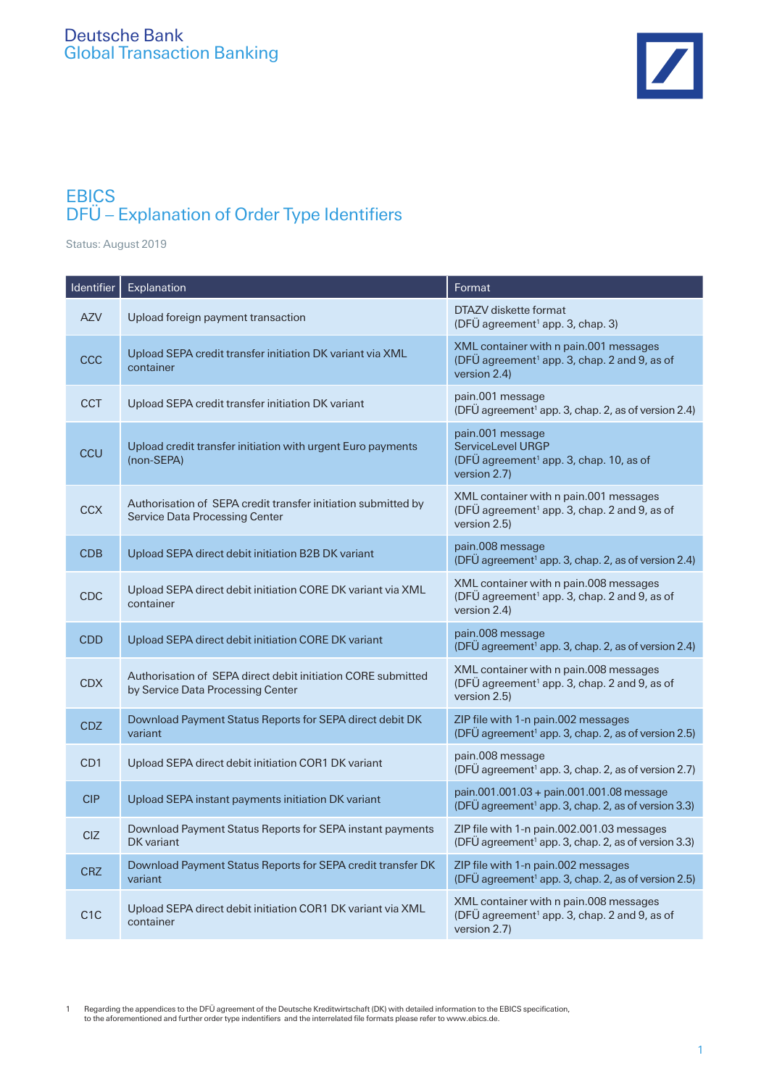

## **EBICS** DFÜ – Explanation of Order Type Identifiers

Status: August 2019

| Identifier       | Explanation                                                                                       | Format                                                                                                             |
|------------------|---------------------------------------------------------------------------------------------------|--------------------------------------------------------------------------------------------------------------------|
| <b>AZV</b>       | Upload foreign payment transaction                                                                | DTAZV diskette format<br>(DFÜ agreement <sup>1</sup> app. 3, chap. 3)                                              |
| CCC              | Upload SEPA credit transfer initiation DK variant via XML<br>container                            | XML container with n pain.001 messages<br>(DFÜ agreement <sup>1</sup> app. 3, chap. 2 and 9, as of<br>version 2.4) |
| <b>CCT</b>       | Upload SEPA credit transfer initiation DK variant                                                 | pain.001 message<br>(DFÜ agreement <sup>1</sup> app. 3, chap. 2, as of version 2.4)                                |
| CCU              | Upload credit transfer initiation with urgent Euro payments<br>(non-SEPA)                         | pain.001 message<br>ServiceLevel URGP<br>(DFÜ agreement <sup>1</sup> app. 3, chap. 10, as of<br>version 2.7)       |
| <b>CCX</b>       | Authorisation of SEPA credit transfer initiation submitted by<br>Service Data Processing Center   | XML container with n pain.001 messages<br>(DFÜ agreement <sup>1</sup> app. 3, chap. 2 and 9, as of<br>version 2.5) |
| <b>CDB</b>       | Upload SEPA direct debit initiation B2B DK variant                                                | pain.008 message<br>(DFÜ agreement <sup>1</sup> app. 3, chap. 2, as of version 2.4)                                |
| <b>CDC</b>       | Upload SEPA direct debit initiation CORE DK variant via XML<br>container                          | XML container with n pain.008 messages<br>(DFÜ agreement <sup>1</sup> app. 3, chap. 2 and 9, as of<br>version 2.4) |
| <b>CDD</b>       | Upload SEPA direct debit initiation CORE DK variant                                               | pain.008 message<br>(DFÜ agreement <sup>1</sup> app. 3, chap. 2, as of version 2.4)                                |
| <b>CDX</b>       | Authorisation of SEPA direct debit initiation CORE submitted<br>by Service Data Processing Center | XML container with n pain.008 messages<br>(DFÜ agreement <sup>1</sup> app. 3, chap. 2 and 9, as of<br>version 2.5) |
| <b>CDZ</b>       | Download Payment Status Reports for SEPA direct debit DK<br>variant                               | ZIP file with 1-n pain.002 messages<br>(DFÜ agreement <sup>1</sup> app. 3, chap. 2, as of version 2.5)             |
| CD <sub>1</sub>  | Upload SEPA direct debit initiation COR1 DK variant                                               | pain.008 message<br>(DFÜ agreement <sup>1</sup> app. 3, chap. 2, as of version 2.7)                                |
| <b>CIP</b>       | Upload SEPA instant payments initiation DK variant                                                | pain.001.001.03 + pain.001.001.08 message<br>(DFÜ agreement <sup>1</sup> app. 3, chap. 2, as of version 3.3)       |
| <b>CIZ</b>       | Download Payment Status Reports for SEPA instant payments<br><b>DK</b> variant                    | ZIP file with 1-n pain.002.001.03 messages<br>(DFÜ agreement <sup>1</sup> app. 3, chap. 2, as of version 3.3)      |
| <b>CRZ</b>       | Download Payment Status Reports for SEPA credit transfer DK<br>variant                            | ZIP file with 1-n pain.002 messages<br>(DFÜ agreement <sup>1</sup> app. 3, chap. 2, as of version 2.5)             |
| C <sub>1</sub> C | Upload SEPA direct debit initiation COR1 DK variant via XML<br>container                          | XML container with n pain.008 messages<br>(DFÜ agreement <sup>1</sup> app. 3, chap. 2 and 9, as of<br>version 2.7) |

Regarding the appendices to the DFU agreement of the Deutsche Kreditwirtschaft (DK) with detailed information to the EBICS specification,<br>to the aforementioned and further order type indentifiers and the interrelated file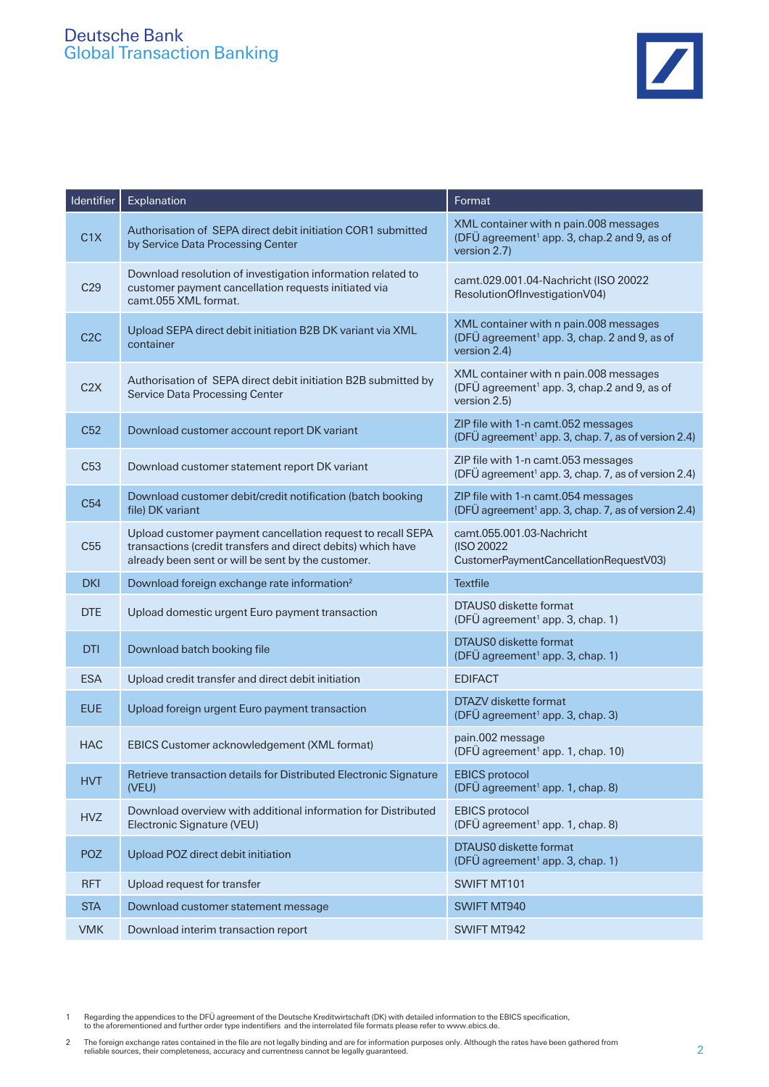| Identifier       | Explanation                                                                                                                                                                       | Format                                                                                                             |
|------------------|-----------------------------------------------------------------------------------------------------------------------------------------------------------------------------------|--------------------------------------------------------------------------------------------------------------------|
| C1X              | Authorisation of SEPA direct debit initiation COR1 submitted<br>by Service Data Processing Center                                                                                 | XML container with n pain.008 messages<br>(DFÜ agreement <sup>1</sup> app. 3, chap.2 and 9, as of<br>version 2.7)  |
| C29              | Download resolution of investigation information related to<br>customer payment cancellation requests initiated via<br>camt.055 XML format.                                       | camt.029.001.04-Nachricht (ISO 20022<br>ResolutionOfInvestigationV04)                                              |
| C <sub>2</sub> C | Upload SEPA direct debit initiation B2B DK variant via XML<br>container                                                                                                           | XML container with n pain.008 messages<br>(DFÜ agreement <sup>1</sup> app. 3, chap. 2 and 9, as of<br>version 2.4) |
| C2X              | Authorisation of SEPA direct debit initiation B2B submitted by<br><b>Service Data Processing Center</b>                                                                           | XML container with n pain.008 messages<br>(DFÜ agreement <sup>1</sup> app. 3, chap.2 and 9, as of<br>version 2.5)  |
| C52              | Download customer account report DK variant                                                                                                                                       | ZIP file with 1-n camt.052 messages<br>(DFÜ agreement <sup>1</sup> app. 3, chap. 7, as of version 2.4)             |
| C <sub>53</sub>  | Download customer statement report DK variant                                                                                                                                     | ZIP file with 1-n camt.053 messages<br>(DFÜ agreement <sup>1</sup> app. 3, chap. 7, as of version 2.4)             |
| C <sub>54</sub>  | Download customer debit/credit notification (batch booking<br>file) DK variant                                                                                                    | ZIP file with 1-n camt.054 messages<br>(DFÜ agreement <sup>1</sup> app. 3, chap. 7, as of version 2.4)             |
| C <sub>55</sub>  | Upload customer payment cancellation request to recall SEPA<br>transactions (credit transfers and direct debits) which have<br>already been sent or will be sent by the customer. | camt.055.001.03-Nachricht<br>(ISO 20022)<br>CustomerPaymentCancellationRequestV03)                                 |
| <b>DKI</b>       | Download foreign exchange rate information <sup>2</sup>                                                                                                                           | <b>Textfile</b>                                                                                                    |
| <b>DTE</b>       | Upload domestic urgent Euro payment transaction                                                                                                                                   | DTAUS0 diskette format<br>(DFÜ agreement <sup>1</sup> app. 3, chap. 1)                                             |
| <b>DTI</b>       | Download batch booking file                                                                                                                                                       | DTAUS0 diskette format<br>(DFÜ agreement <sup>1</sup> app. 3, chap. 1)                                             |
| <b>ESA</b>       | Upload credit transfer and direct debit initiation                                                                                                                                | <b>EDIFACT</b>                                                                                                     |
| <b>EUE</b>       | Upload foreign urgent Euro payment transaction                                                                                                                                    | DTAZV diskette format<br>(DFÜ agreement <sup>1</sup> app. 3, chap. 3)                                              |
| <b>HAC</b>       | EBICS Customer acknowledgement (XML format)                                                                                                                                       | pain.002 message<br>(DFÜ agreement <sup>1</sup> app. 1, chap. 10)                                                  |
| <b>HVT</b>       | Retrieve transaction details for Distributed Electronic Signature<br>(VEU)                                                                                                        | <b>EBICS</b> protocol<br>(DFÜ agreement <sup>1</sup> app. 1, chap. 8)                                              |
| <b>HVZ</b>       | Download overview with additional information for Distributed<br>Electronic Signature (VEU)                                                                                       | <b>EBICS</b> protocol<br>(DFÜ agreement <sup>1</sup> app. 1, chap. 8)                                              |
| <b>POZ</b>       | Upload POZ direct debit initiation                                                                                                                                                | DTAUS0 diskette format<br>(DFÜ agreement <sup>1</sup> app. 3, chap. 1)                                             |
| <b>RFT</b>       | Upload request for transfer                                                                                                                                                       | SWIFT MT101                                                                                                        |
| <b>STA</b>       | Download customer statement message                                                                                                                                               | SWIFT MT940                                                                                                        |
| <b>VMK</b>       | Download interim transaction report                                                                                                                                               | SWIFT MT942                                                                                                        |

Regarding the appendices to the DFÜ agreement of the Deutsche Kreditwirtschaft (DK) with detailed information to the EBICS specification,<br>to the aforementioned and further order type indentifiers and the interrelated file

The foreign exchange rates contained in the file are not legally binding and are for information purposes only. Although the rates have been gathered from<br>reliable sources, their completeness, accuracy and currentness cann